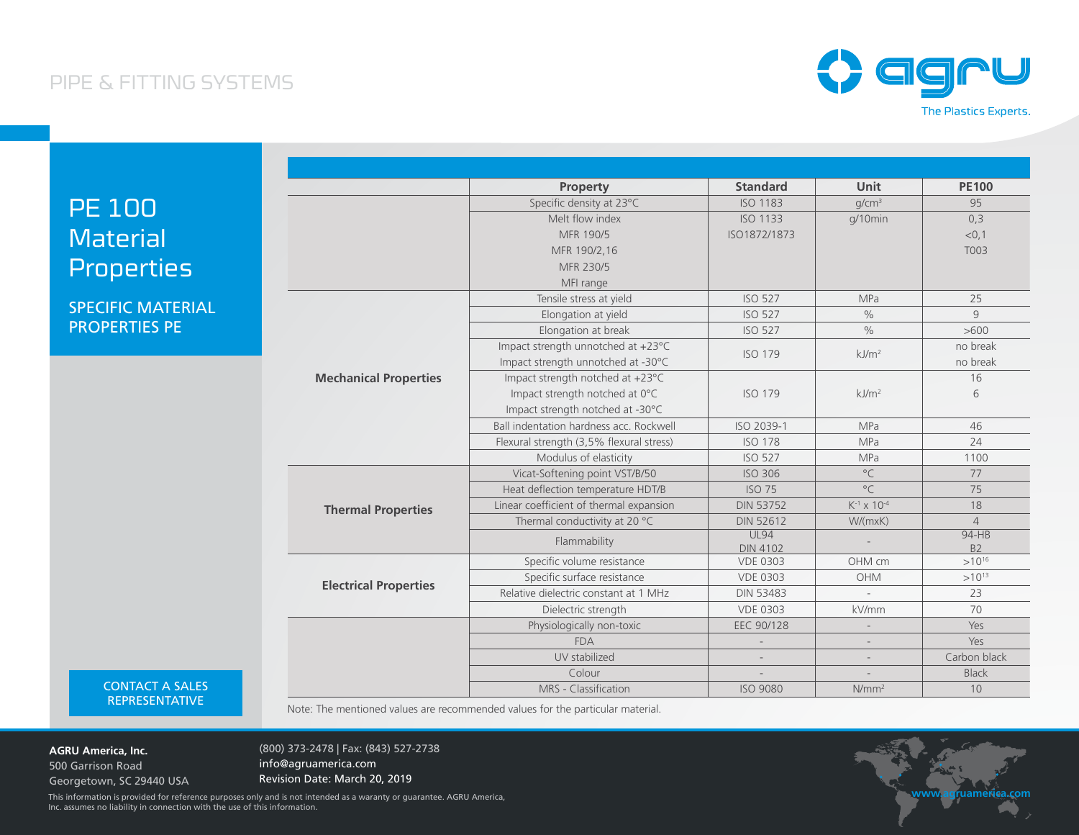## PIPE & FITTING SYSTEMS



|                                                  |                              | Property                                                                 | <b>Standard</b>                | <b>Unit</b>                 | <b>PE100</b>              |
|--------------------------------------------------|------------------------------|--------------------------------------------------------------------------|--------------------------------|-----------------------------|---------------------------|
| <b>PE 100</b>                                    |                              | Specific density at 23°C                                                 | <b>ISO 1183</b>                | q/cm <sup>3</sup>           | 95                        |
|                                                  |                              | Melt flow index                                                          | <b>ISO 1133</b>                | g/10min                     | 0,3                       |
| <b>Material</b>                                  |                              | MFR 190/5                                                                | ISO1872/1873                   |                             | < 0, 1                    |
|                                                  |                              | MFR 190/2,16                                                             |                                |                             | T003                      |
| <b>Properties</b>                                |                              | MFR 230/5                                                                |                                |                             |                           |
|                                                  |                              | MFI range                                                                |                                |                             |                           |
|                                                  |                              | Tensile stress at yield                                                  | <b>ISO 527</b>                 | <b>MPa</b>                  | 25                        |
| <b>SPECIFIC MATERIAL</b><br><b>PROPERTIES PE</b> |                              | Elongation at yield                                                      | <b>ISO 527</b>                 | $\%$                        | 9                         |
|                                                  |                              | Elongation at break                                                      | <b>ISO 527</b>                 | $\%$                        | >600                      |
|                                                  |                              | Impact strength unnotched at +23°C<br>Impact strength unnotched at -30°C | <b>ISO 179</b>                 | kJ/m <sup>2</sup>           | no break<br>no break      |
|                                                  | <b>Mechanical Properties</b> | Impact strength notched at +23°C                                         |                                |                             | 16                        |
|                                                  |                              | Impact strength notched at 0°C                                           | <b>ISO 179</b>                 | kJ/m <sup>2</sup>           | 6                         |
|                                                  |                              | Impact strength notched at -30°C                                         |                                |                             |                           |
|                                                  |                              | Ball indentation hardness acc. Rockwell                                  | ISO 2039-1                     | <b>MPa</b>                  | 46                        |
|                                                  |                              | Flexural strength (3,5% flexural stress)                                 | <b>ISO 178</b>                 | MPa                         | 24                        |
|                                                  |                              | Modulus of elasticity                                                    | <b>ISO 527</b>                 | <b>MPa</b>                  | 1100                      |
|                                                  | <b>Thermal Properties</b>    | Vicat-Softening point VST/B/50                                           | <b>ISO 306</b>                 | $^{\circ}$ C                | 77                        |
|                                                  |                              | Heat deflection temperature HDT/B                                        | <b>ISO 75</b>                  | $^{\circ}$ C                | 75                        |
|                                                  |                              | Linear coefficient of thermal expansion                                  | <b>DIN 53752</b>               | $K^{-1}$ x 10 <sup>-4</sup> | 18                        |
|                                                  |                              | Thermal conductivity at 20 °C                                            | <b>DIN 52612</b>               | W/(mxK)                     | $\overline{4}$            |
|                                                  |                              | Flammability                                                             | <b>UL94</b><br><b>DIN 4102</b> |                             | $94-HB$<br>B <sub>2</sub> |
|                                                  |                              | Specific volume resistance                                               | <b>VDE 0303</b>                | OHM cm                      | $>10^{16}$                |
|                                                  |                              | Specific surface resistance                                              | <b>VDE 0303</b>                | <b>OHM</b>                  | $>10^{13}$                |
|                                                  | <b>Electrical Properties</b> | Relative dielectric constant at 1 MHz                                    | <b>DIN 53483</b>               | $\overline{\phantom{a}}$    | 23                        |
|                                                  |                              | Dielectric strength                                                      | <b>VDE 0303</b>                | kV/mm                       | 70                        |
|                                                  |                              | Physiologically non-toxic                                                | EEC 90/128                     |                             | Yes                       |
|                                                  |                              | <b>FDA</b>                                                               |                                |                             | Yes                       |
|                                                  |                              | UV stabilized                                                            |                                | $\overline{\phantom{a}}$    | Carbon black              |
|                                                  |                              | Colour                                                                   |                                |                             | <b>Black</b>              |
| <b>CONTACT A SALES</b>                           |                              | MRS - Classification                                                     | <b>ISO 9080</b>                | $N/mm^2$                    | 10                        |

CONTACT A SALES REPRESENTATIVE

Note: The mentioned values are recommended values for the particular material.

**AGRU America, Inc.**

500 Garrison Road Georgetown, SC 29440 USA (800) 373-2478 | Fax: (843) 527-2738 info@agruamerica.com Revision Date: March 20, 2019

This information is provided for reference purposes only and is not intended as a waranty or guarantee. AGRU America, Inc. assumes no liability in connection with the use of this information.